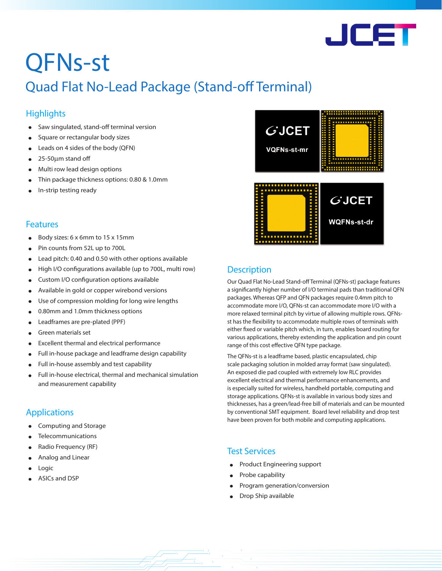

# QFNs-st

# Quad Flat No-Lead Package (Stand-off Terminal)

# **Highlights**

- Saw singulated, stand-off terminal version
- Square or rectangular body sizes
- Leads on 4 sides of the body (QFN)
- 25-50µm stand off
- Multi row lead design options
- Thin package thickness options: 0.80 & 1.0mm
- In-strip testing ready

#### Features

- Body sizes: 6 x 6mm to 15 x 15mm
- Pin counts from 52L up to 700L
- Lead pitch: 0.40 and 0.50 with other options available
- High I/O configurations available (up to 700L, multi row)
- Custom I/O configuration options available
- Available in gold or copper wirebond versions
- Use of compression molding for long wire lengths
- 0.80mm and 1.0mm thickness options
- Leadframes are pre-plated (PPF)
- Green materials set
- Excellent thermal and electrical performance
- Full in-house package and leadframe design capability
- Full in-house assembly and test capability
- Full in-house electrical, thermal and mechanical simulation and measurement capability

## Applications

- Computing and Storage
- **Telecommunications**
- Radio Frequency (RF)
- Analog and Linear
- **Logic**
- ASICs and DSP



# **Description**

Our Quad Flat No-Lead Stand-off Terminal (QFNs-st) package features a significantly higher number of I/O terminal pads than traditional QFN packages. Whereas QFP and QFN packages require 0.4mm pitch to accommodate more I/O, QFNs-st can accommodate more I/O with a more relaxed terminal pitch by virtue of allowing multiple rows. QFNsst has the flexibility to accommodate multiple rows of terminals with either fixed or variable pitch which, in turn, enables board routing for various applications, thereby extending the application and pin count range of this cost effective QFN type package.

The QFNs-st is a leadframe based, plastic encapsulated, chip scale packaging solution in molded array format (saw singulated). An exposed die pad coupled with extremely low RLC provides excellent electrical and thermal performance enhancements, and is especially suited for wireless, handheld portable, computing and storage applications. QFNs-st is available in various body sizes and thicknesses, has a green/lead-free bill of materials and can be mounted by conventional SMT equipment. Board level reliability and drop test have been proven for both mobile and computing applications.

## Test Services

- Product Engineering support
- Probe capability
- Program generation/conversion
- Drop Ship available